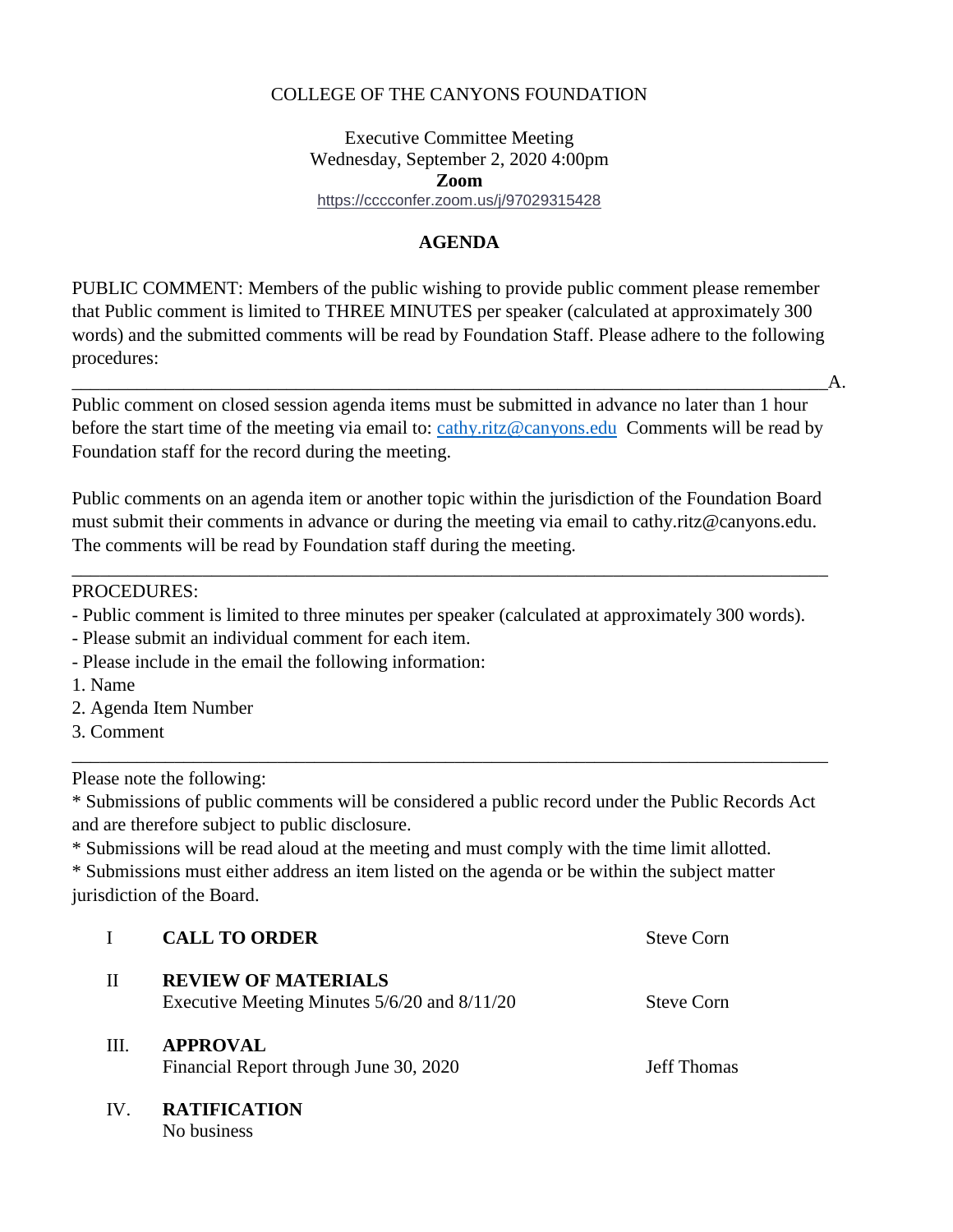#### COLLEGE OF THE CANYONS FOUNDATION

### Executive Committee Meeting Wednesday, September 2, 2020 4:00pm **Zoom**  <https://cccconfer.zoom.us/j/97029315428>

### **AGENDA**

PUBLIC COMMENT: Members of the public wishing to provide public comment please remember that Public comment is limited to THREE MINUTES per speaker (calculated at approximately 300 words) and the submitted comments will be read by Foundation Staff. Please adhere to the following procedures:

 $\quad \mathbf{A}.$ 

before the start time of the meeting via email to: [cathy.ritz@canyons.edu](mailto:cathy.ritz@canyons.edu) Comments will be read by Public comment on closed session agenda items must be submitted in advance no later than 1 hour Foundation staff for the record during the meeting.

Public comments on an agenda item or another topic within the jurisdiction of the Foundation Board must submit their comments in advance or during the meeting via email to [cathy.ritz@canyons.edu.](mailto:cathy.ritz@canyons.edu) The comments will be read by Foundation staff during the meeting.

\_\_\_\_\_\_\_\_\_\_\_\_\_\_\_\_\_\_\_\_\_\_\_\_\_\_\_\_\_\_\_\_\_\_\_\_\_\_\_\_\_\_\_\_\_\_\_\_\_\_\_\_\_\_\_\_\_\_\_\_\_\_\_\_\_\_\_\_\_\_\_\_\_\_\_\_\_\_\_\_\_

PROCEDURES:

- Public comment is limited to three minutes per speaker (calculated at approximately 300 words).
- Please submit an individual comment for each item.
- Please include in the email the following information:

1. Name

- 2. Agenda Item Number
- 3. Comment

Please note the following:

\* Submissions of public comments will be considered a public record under the Public Records Act and are therefore subject to public disclosure.

\_\_\_\_\_\_\_\_\_\_\_\_\_\_\_\_\_\_\_\_\_\_\_\_\_\_\_\_\_\_\_\_\_\_\_\_\_\_\_\_\_\_\_\_\_\_\_\_\_\_\_\_\_\_\_\_\_\_\_\_\_\_\_\_\_\_\_\_\_\_\_\_\_\_\_\_\_\_\_\_\_

\* Submissions will be read aloud at the meeting and must comply with the time limit allotted.

\* Submissions must either address an item listed on the agenda or be within the subject matter jurisdiction of the Board.

|     | <b>CALL TO ORDER</b>                                                           | Steve Corn         |
|-----|--------------------------------------------------------------------------------|--------------------|
| Н   | <b>REVIEW OF MATERIALS</b><br>Executive Meeting Minutes $5/6/20$ and $8/11/20$ | Steve Corn         |
| HH. | <b>APPROVAL</b><br>Financial Report through June 30, 2020                      | <b>Jeff Thomas</b> |
| IV  | <b>RATIFICATION</b>                                                            |                    |

No business